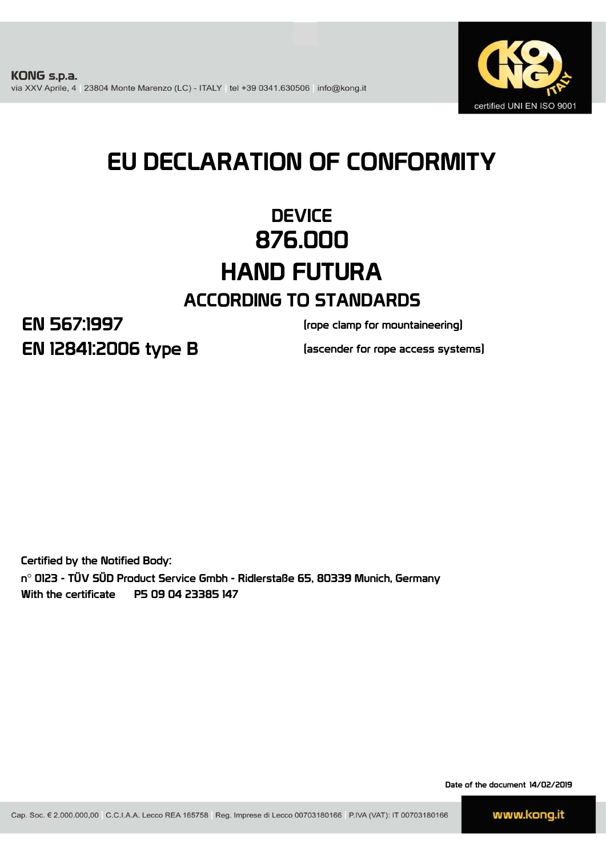

# EU DECLARATION OF CONFORMITY

## **DEVICE** 876.000 HAND FUTURA ACCORDING TO STANDARDS

EN 12841:2006 type B EN 567:1997

(rope clamp for mountaineering)

(ascender for rope access systems)

Certified by the Notified Body: n° 0123 - TÜV SÜD Product Service Gmbh - Ridlerstaße 65, 80339 Munich, Germany With the certificate P5 09 04 23385 147

Date of the document 14/02/2019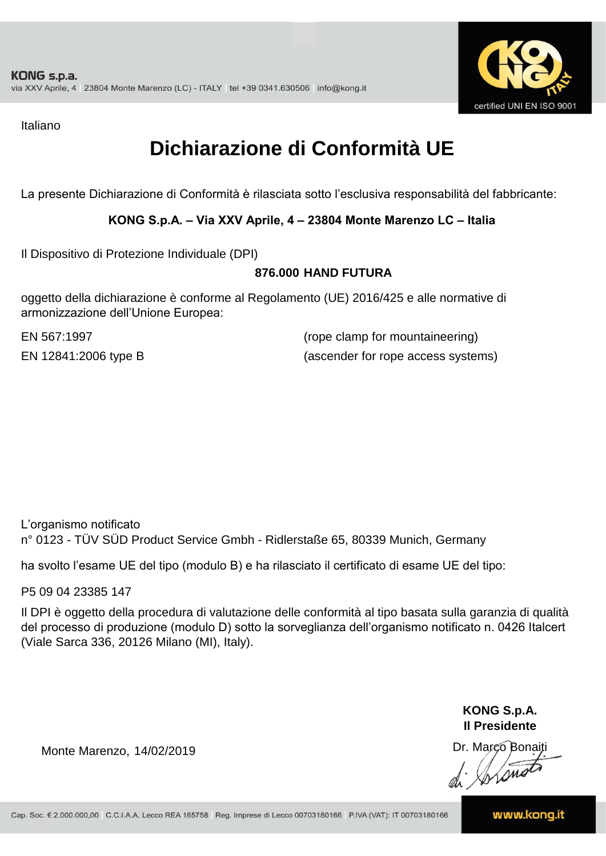

Italiano

### **Dichiarazione di Conformità UE**

La presente Dichiarazione di Conformità è rilasciata sotto l'esclusiva responsabilità del fabbricante:

#### **KONG S.p.A. – Via XXV Aprile, 4 – 23804 Monte Marenzo LC – Italia**

Il Dispositivo di Protezione Individuale (DPI)

#### **876.000 HAND FUTURA**

oggetto della dichiarazione è conforme al Regolamento (UE) 2016/425 e alle normative di armonizzazione dell'Unione Europea:

EN 567:1997

(rope clamp for mountaineering) EN 12841:2006 type B (ascender for rope access systems)

L'organismo notificato n° 0123 - TÜV SÜD Product Service Gmbh - Ridlerstaße 65, 80339 Munich, Germany

ha svolto l'esame UE del tipo (modulo B) e ha rilasciato il certificato di esame UE del tipo:

P5 09 04 23385 147

Il DPI è oggetto della procedura di valutazione delle conformità al tipo basata sulla garanzia di qualità del processo di produzione (modulo D) sotto la sorveglianza dell'organismo notificato n. 0426 Italcert (Viale Sarca 336, 20126 Milano (MI), Italy).

> **KONG S.p.A. Il Presidente**

Monte Marenzo, 14/02/2019<br>
Monte Marenzo, 14/02/2019<br>
A Marco Bonaiti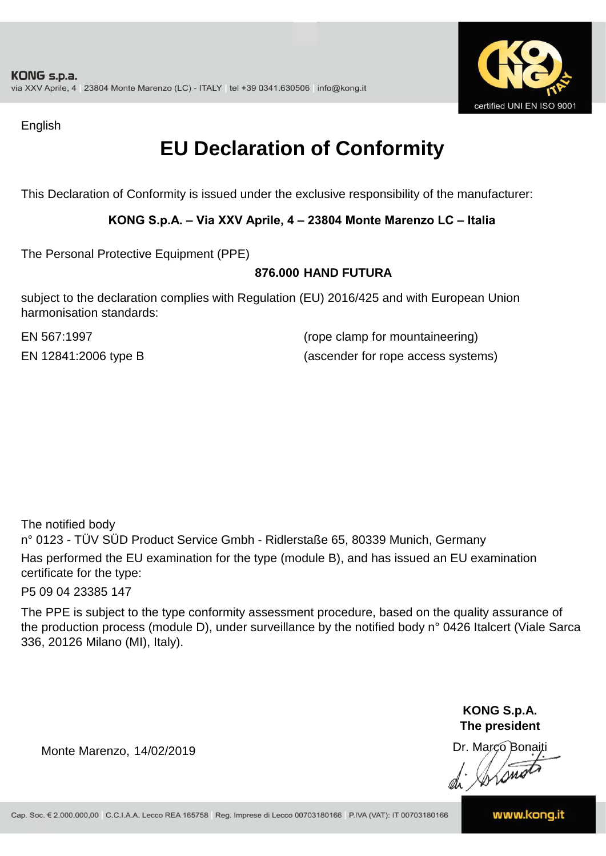

English

### **EU Declaration of Conformity**

This Declaration of Conformity is issued under the exclusive responsibility of the manufacturer:

#### **KONG S.p.A. – Via XXV Aprile, 4 – 23804 Monte Marenzo LC – Italia**

The Personal Protective Equipment (PPE)

#### **876.000 HAND FUTURA**

subject to the declaration complies with Regulation (EU) 2016/425 and with European Union harmonisation standards:

EN 567:1997 (rope clamp for mountaineering) EN 12841:2006 type B (ascender for rope access systems)

The notified body

n° 0123 - TÜV SÜD Product Service Gmbh - Ridlerstaße 65, 80339 Munich, Germany Has performed the EU examination for the type (module B), and has issued an EU examination certificate for the type:

P5 09 04 23385 147

The PPE is subject to the type conformity assessment procedure, based on the quality assurance of the production process (module D), under surveillance by the notified body n° 0426 Italcert (Viale Sarca 336, 20126 Milano (MI), Italy).

> **KONG S.p.A. The president**

Dr. Marco Bonaiti di Aromor

Monte Marenzo, 14/02/2019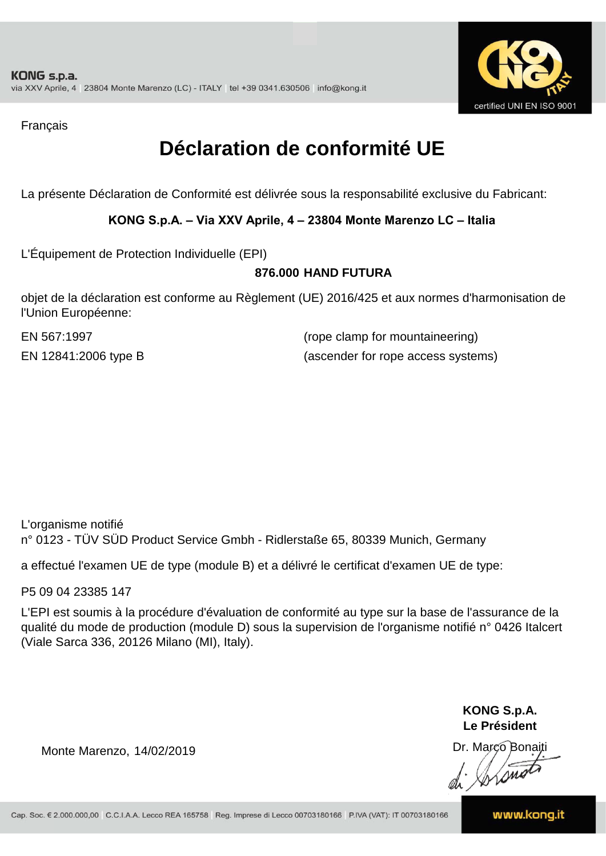

Français

### **Déclaration de conformité UE**

La présente Déclaration de Conformité est délivrée sous la responsabilité exclusive du Fabricant:

#### **KONG S.p.A. – Via XXV Aprile, 4 – 23804 Monte Marenzo LC – Italia**

L'Équipement de Protection Individuelle (EPI)

#### **876.000 HAND FUTURA**

objet de la déclaration est conforme au Règlement (UE) 2016/425 et aux normes d'harmonisation de l'Union Européenne:

EN 567:1997 (rope clamp for mountaineering) EN 12841:2006 type B (ascender for rope access systems)

L'organisme notifié n° 0123 - TÜV SÜD Product Service Gmbh - Ridlerstaße 65, 80339 Munich, Germany

a effectué l'examen UE de type (module B) et a délivré le certificat d'examen UE de type:

P5 09 04 23385 147

L'EPI est soumis à la procédure d'évaluation de conformité au type sur la base de l'assurance de la qualité du mode de production (module D) sous la supervision de l'organisme notifié n° 0426 Italcert (Viale Sarca 336, 20126 Milano (MI), Italy).

> **KONG S.p.A. Le Président**

Dr. Marco Bonaiti di Aromor

Monte Marenzo, 14/02/2019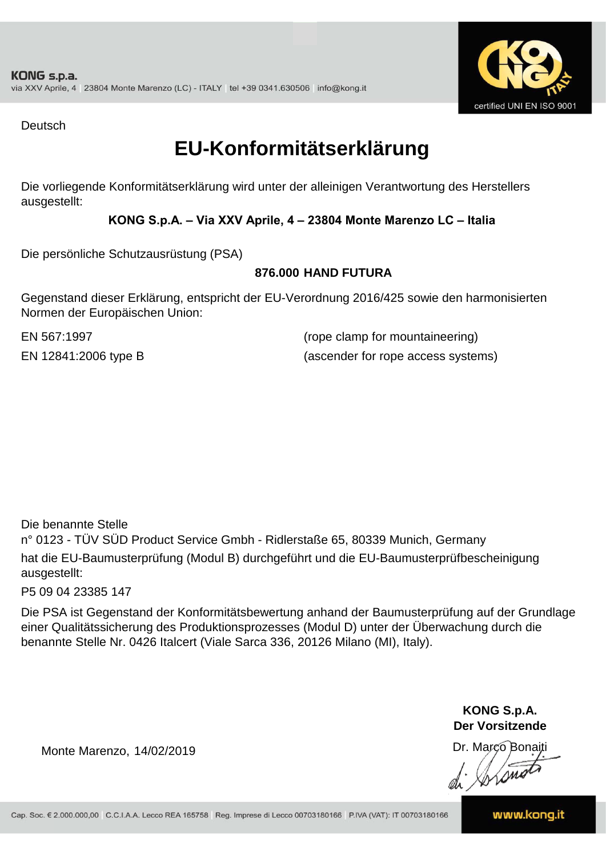

Deutsch

### **EU-Konformitätserklärung**

Die vorliegende Konformitätserklärung wird unter der alleinigen Verantwortung des Herstellers ausgestellt:

#### **KONG S.p.A. – Via XXV Aprile, 4 – 23804 Monte Marenzo LC – Italia**

Die persönliche Schutzausrüstung (PSA)

#### **876.000 HAND FUTURA**

Gegenstand dieser Erklärung, entspricht der EU-Verordnung 2016/425 sowie den harmonisierten Normen der Europäischen Union:

EN 567:1997 (rope clamp for mountaineering) EN 12841:2006 type B (ascender for rope access systems)

Die benannte Stelle

n° 0123 - TÜV SÜD Product Service Gmbh - Ridlerstaße 65, 80339 Munich, Germany hat die EU-Baumusterprüfung (Modul B) durchgeführt und die EU-Baumusterprüfbescheinigung ausgestellt:

P5 09 04 23385 147

Die PSA ist Gegenstand der Konformitätsbewertung anhand der Baumusterprüfung auf der Grundlage einer Qualitätssicherung des Produktionsprozesses (Modul D) unter der Überwachung durch die benannte Stelle Nr. 0426 Italcert (Viale Sarca 336, 20126 Milano (MI), Italy).

> **KONG S.p.A. Der Vorsitzende**

Dr. Marco Bonaiti

Monte Marenzo, 14/02/2019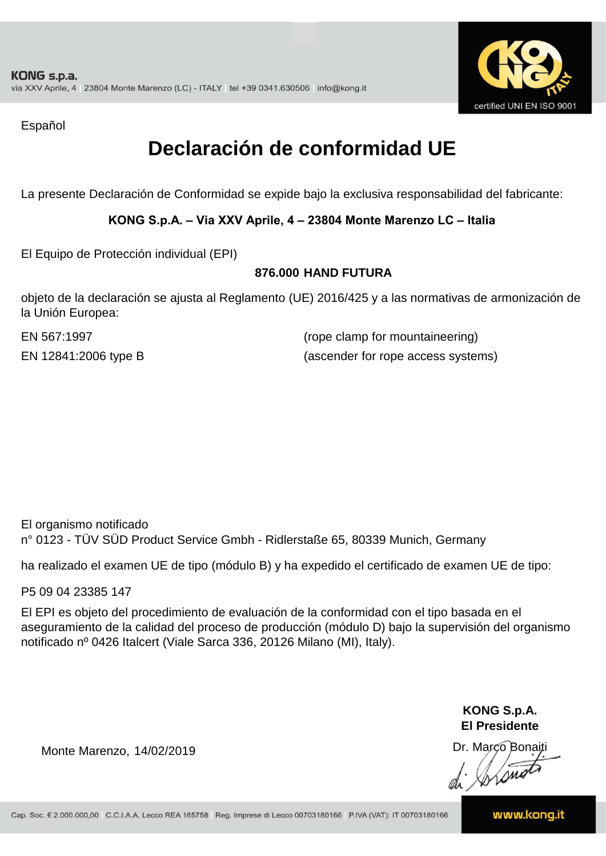

Español

### **Declaración de conformidad UE**

La presente Declaración de Conformidad se expide bajo la exclusiva responsabilidad del fabricante:

#### **KONG S.p.A. – Via XXV Aprile, 4 – 23804 Monte Marenzo LC – Italia**

El Equipo de Protección individual (EPI)

#### **876.000 HAND FUTURA**

objeto de la declaración se ajusta al Reglamento (UE) 2016/425 y a las normativas de armonización de la Unión Europea:

EN 567:1997

(rope clamp for mountaineering) EN 12841:2006 type B (ascender for rope access systems)

El organismo notificado n° 0123 - TÜV SÜD Product Service Gmbh - Ridlerstaße 65, 80339 Munich, Germany

ha realizado el examen UE de tipo (módulo B) y ha expedido el certificado de examen UE de tipo:

P5 09 04 23385 147

El EPI es objeto del procedimiento de evaluación de la conformidad con el tipo basada en el aseguramiento de la calidad del proceso de producción (módulo D) bajo la supervisión del organismo notificado nº 0426 Italcert (Viale Sarca 336, 20126 Milano (MI), Italy).

> **KONG S.p.A. El Presidente**

Dr. Marco Bonaiti di Aromor

Monte Marenzo, 14/02/2019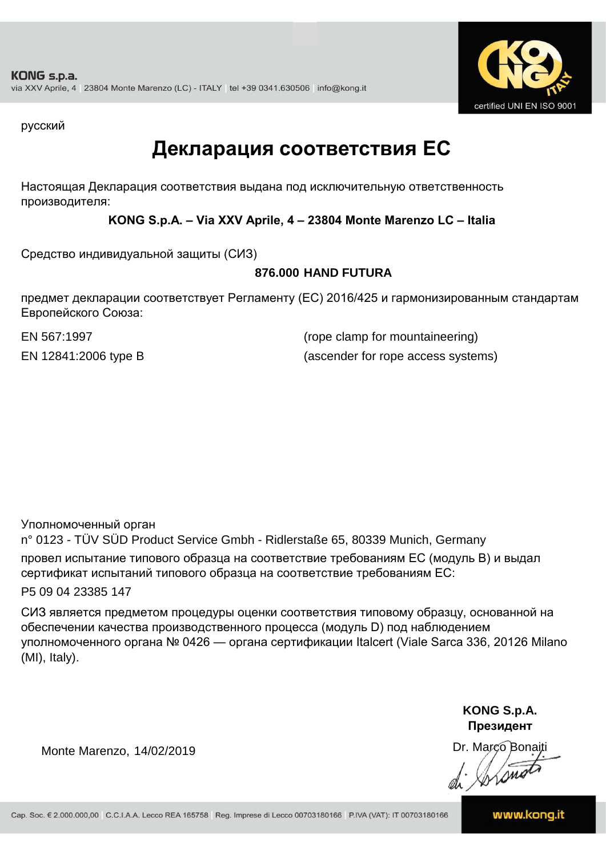

русский

### **Декларация соответствия ЕС**

Настоящая Декларация соответствия выдана под исключительную ответственность производителя:

**KONG S.p.A. – Via XXV Aprile, 4 – 23804 Monte Marenzo LC – Italia**

Средство индивидуальной защиты (СИЗ)

#### **876.000 HAND FUTURA**

предмет декларации соответствует Регламенту (ЕС) 2016/425 и гармонизированным стандартам Европейского Союза:

EN 567:1997 (rope clamp for mountaineering) EN 12841:2006 type B (ascender for rope access systems)

Уполномоченный орган

n° 0123 - TÜV SÜD Product Service Gmbh - Ridlerstaße 65, 80339 Munich, Germany провел испытание типового образца на соответствие требованиям ЕС (модуль B) и выдал сертификат испытаний типового образца на соответствие требованиям ЕС:

P5 09 04 23385 147

СИЗ является предметом процедуры оценки соответствия типовому образцу, основанной на обеспечении качества производственного процесса (модуль D) под наблюдением уполномоченного органа № 0426 — органа сертификации Italcert (Viale Sarca 336, 20126 Milano (MI), Italy).

> **KONG S.p.A. Президент**

Dr. Marco Bonaiti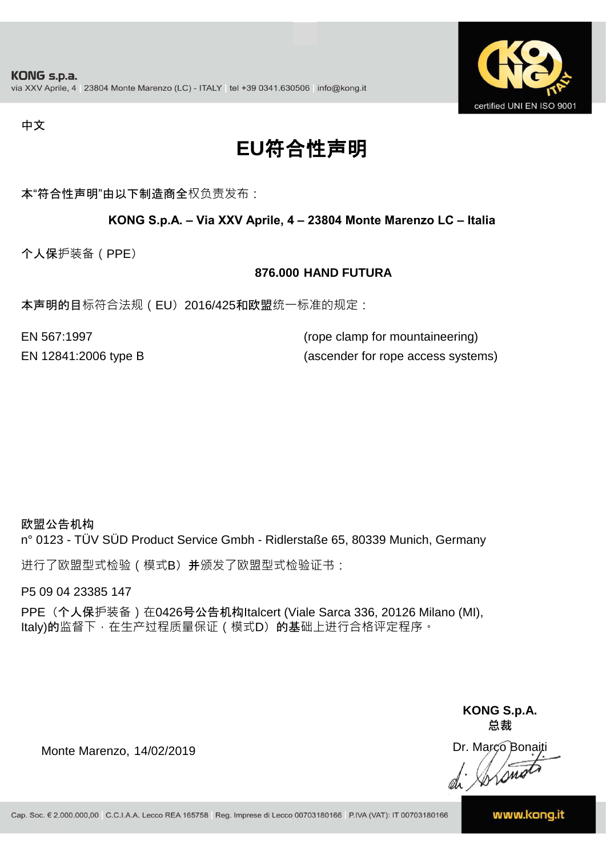

#### 中文

## **EU**符合性声明

本"符合性声明"由以下制造商全权负责发布:

#### **KONG S.p.A. – Via XXV Aprile, 4 – 23804 Monte Marenzo LC – Italia**

个人保护装备(PPE)

#### **876.000 HAND FUTURA**

本声明的目标符合法规(EU) 2016/425和欧盟统一标准的规定:

| EN 567:1997          | (rope clamp for mountaineering)    |
|----------------------|------------------------------------|
| EN 12841:2006 type B | (ascender for rope access systems) |

#### 欧盟公告机构

n° 0123 - TÜV SÜD Product Service Gmbh - Ridlerstaße 65, 80339 Munich, Germany

进行了欧盟型式检验(模式B) 并颁发了欧盟型式检验证书:

P5 09 04 23385 147

PPE (个人保护装备) 在0426号公告机构Italcert (Viale Sarca 336, 20126 Milano (MI), Italy)的监督下, 在生产过程质量保证 ( 模式D) 的基础上进行合格评定程序。

> **KONG S.p.A. 总裁**

Dr. Marco Bonaiti di Stono

Monte Marenzo, 14/02/2019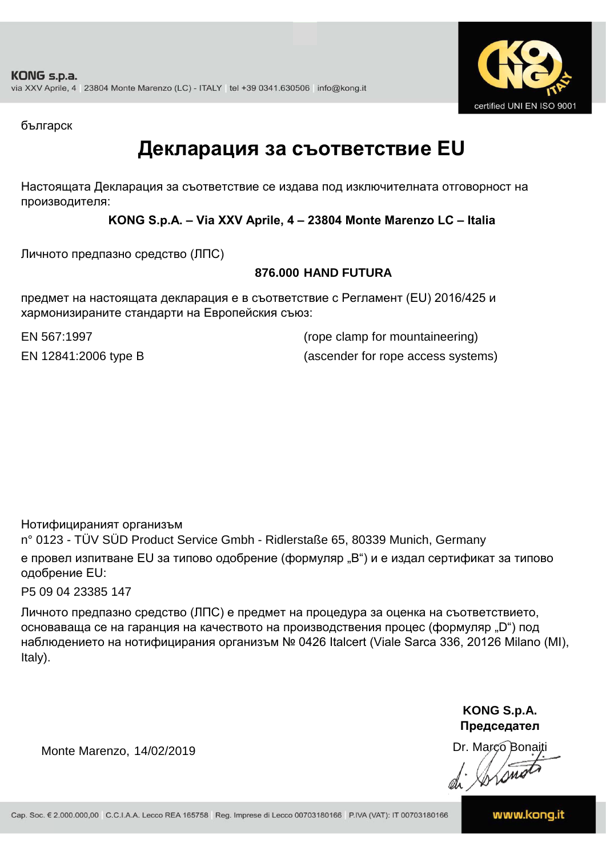

българск

### **Декларация за съответствие EU**

Настоящата Декларация за съответствие се издава под изключителната отговорност на производителя:

**KONG S.p.A. – Via XXV Aprile, 4 – 23804 Monte Marenzo LC – Italia**

Личното предпазно средство (ЛПС)

#### **876.000 HAND FUTURA**

предмет на настоящата декларация е в съответствие с Регламент (ЕU) 2016/425 и хармонизираните стандарти на Европейския съюз:

EN 567:1997 (rope clamp for mountaineering) EN 12841:2006 type B (ascender for rope access systems)

Нотифицираният организъм

n° 0123 - TÜV SÜD Product Service Gmbh - Ridlerstaße 65, 80339 Munich, Germany е провел изпитване EU за типово одобрение (формуляр "B") и е издал сертификат за типово одобрение ЕU:

P5 09 04 23385 147

Личното предпазно средство (ЛПС) е предмет на процедура за оценка на съответствието, основаваща се на гаранция на качеството на производствения процес (формуляр "D") под наблюдението на нотифицирания организъм № 0426 Italcert (Viale Sarca 336, 20126 Milano (MI), Italy).

> **KONG S.p.A. Председател**

Dr. Marco Bonaiti di Arono

Monte Marenzo, 14/02/2019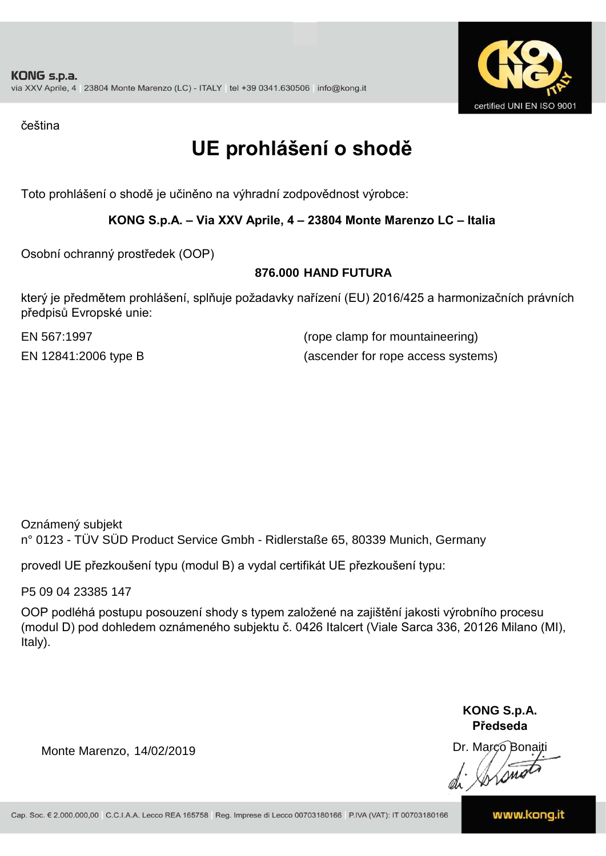

čeština

## **UE prohlášení o shodě**

Toto prohlášení o shodě je učiněno na výhradní zodpovědnost výrobce:

#### **KONG S.p.A. – Via XXV Aprile, 4 – 23804 Monte Marenzo LC – Italia**

Osobní ochranný prostředek (OOP)

#### **876.000 HAND FUTURA**

který je předmětem prohlášení, splňuje požadavky nařízení (EU) 2016/425 a harmonizačních právních předpisů Evropské unie:

EN 567:1997 (rope clamp for mountaineering) EN 12841:2006 type B (ascender for rope access systems)

Oznámený subjekt n° 0123 - TÜV SÜD Product Service Gmbh - Ridlerstaße 65, 80339 Munich, Germany

provedl UE přezkoušení typu (modul B) a vydal certifikát UE přezkoušení typu:

P5 09 04 23385 147

OOP podléhá postupu posouzení shody s typem založené na zajištění jakosti výrobního procesu (modul D) pod dohledem oznámeného subjektu č. 0426 Italcert (Viale Sarca 336, 20126 Milano (MI), Italy).

> **KONG S.p.A. Předseda**

Dr. Marco Bonaiti

Monte Marenzo, 14/02/2019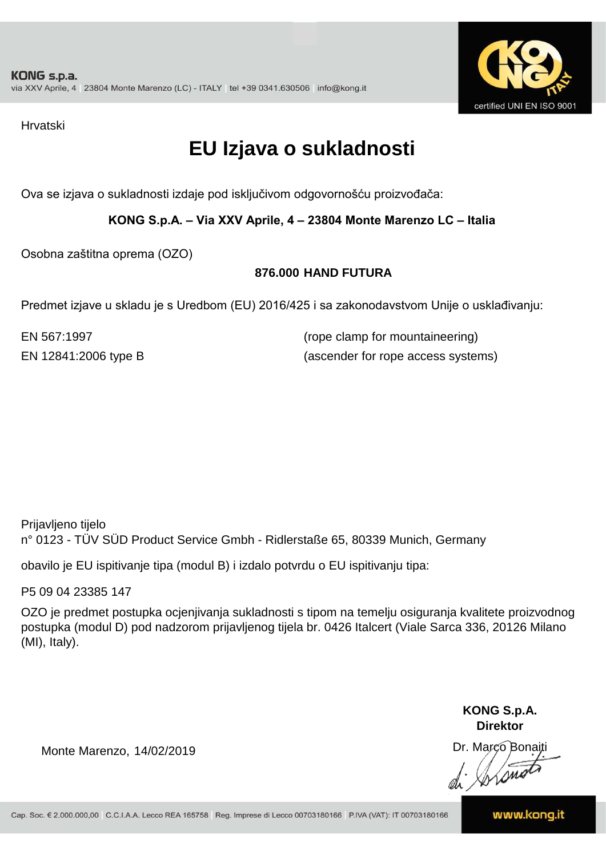

Hrvatski

### **EU Izjava o sukladnosti**

Ova se izjava o sukladnosti izdaje pod isključivom odgovornošću proizvođača:

**KONG S.p.A. – Via XXV Aprile, 4 – 23804 Monte Marenzo LC – Italia**

Osobna zaštitna oprema (OZO)

#### **876.000 HAND FUTURA**

Predmet izjave u skladu je s Uredbom (EU) 2016/425 i sa zakonodavstvom Unije o usklađivanju:

EN 567:1997 (rope clamp for mountaineering) EN 12841:2006 type B (ascender for rope access systems)

Prijavljeno tijelo n° 0123 - TÜV SÜD Product Service Gmbh - Ridlerstaße 65, 80339 Munich, Germany

obavilo je EU ispitivanje tipa (modul B) i izdalo potvrdu o EU ispitivanju tipa:

P5 09 04 23385 147

OZO je predmet postupka ocjenjivanja sukladnosti s tipom na temelju osiguranja kvalitete proizvodnog postupka (modul D) pod nadzorom prijavljenog tijela br. 0426 Italcert (Viale Sarca 336, 20126 Milano (MI), Italy).

> **KONG S.p.A. Direktor**

Dr. Marco Bonaiti di Stono

Monte Marenzo, 14/02/2019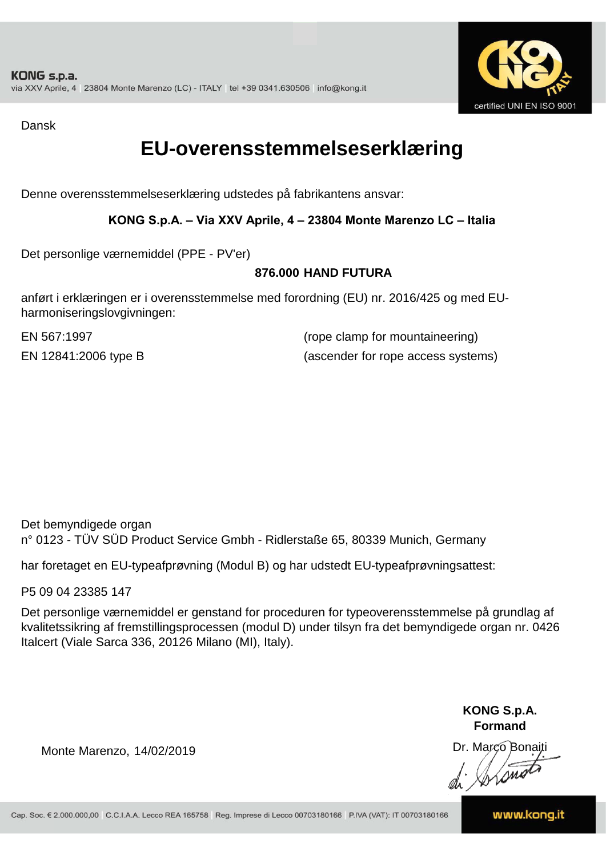

Dansk

### **EU-overensstemmelseserklæring**

Denne overensstemmelseserklæring udstedes på fabrikantens ansvar:

#### **KONG S.p.A. – Via XXV Aprile, 4 – 23804 Monte Marenzo LC – Italia**

Det personlige værnemiddel (PPE - PV'er)

#### **876.000 HAND FUTURA**

anført i erklæringen er i overensstemmelse med forordning (EU) nr. 2016/425 og med EUharmoniseringslovgivningen:

EN 567:1997 (rope clamp for mountaineering) EN 12841:2006 type B (ascender for rope access systems)

Det bemyndigede organ n° 0123 - TÜV SÜD Product Service Gmbh - Ridlerstaße 65, 80339 Munich, Germany

har foretaget en EU-typeafprøvning (Modul B) og har udstedt EU-typeafprøvningsattest:

P5 09 04 23385 147

Det personlige værnemiddel er genstand for proceduren for typeoverensstemmelse på grundlag af kvalitetssikring af fremstillingsprocessen (modul D) under tilsyn fra det bemyndigede organ nr. 0426 Italcert (Viale Sarca 336, 20126 Milano (MI), Italy).

> **KONG S.p.A. Formand**

Dr. Marco Bonaiti di Aromor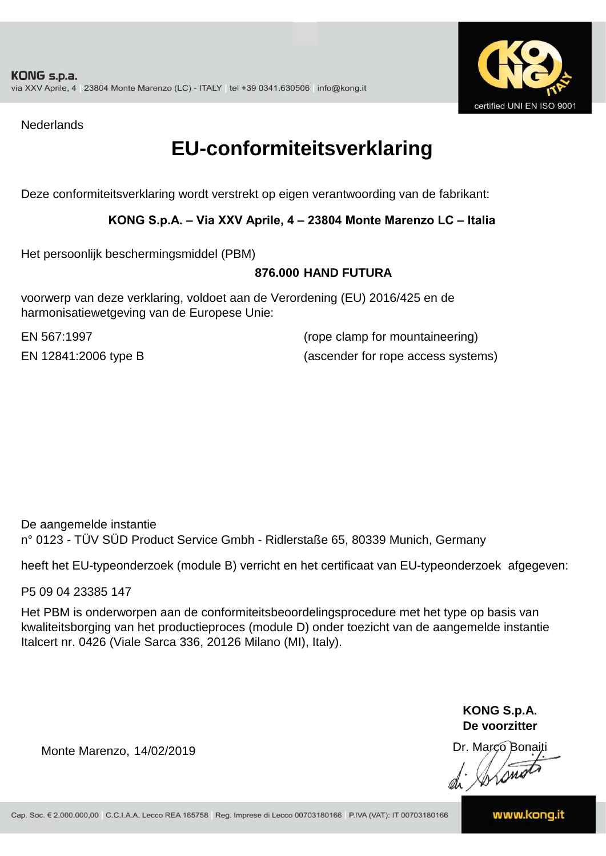

**Nederlands** 

### **EU-conformiteitsverklaring**

Deze conformiteitsverklaring wordt verstrekt op eigen verantwoording van de fabrikant:

#### **KONG S.p.A. – Via XXV Aprile, 4 – 23804 Monte Marenzo LC – Italia**

Het persoonlijk beschermingsmiddel (PBM)

#### **876.000 HAND FUTURA**

voorwerp van deze verklaring, voldoet aan de Verordening (EU) 2016/425 en de harmonisatiewetgeving van de Europese Unie:

EN 567:1997 (rope clamp for mountaineering) EN 12841:2006 type B (ascender for rope access systems)

De aangemelde instantie n° 0123 - TÜV SÜD Product Service Gmbh - Ridlerstaße 65, 80339 Munich, Germany

heeft het EU-typeonderzoek (module B) verricht en het certificaat van EU-typeonderzoek afgegeven:

P5 09 04 23385 147

Het PBM is onderworpen aan de conformiteitsbeoordelingsprocedure met het type op basis van kwaliteitsborging van het productieproces (module D) onder toezicht van de aangemelde instantie Italcert nr. 0426 (Viale Sarca 336, 20126 Milano (MI), Italy).

> **KONG S.p.A. De voorzitter**

Dr. Marco Bonaiti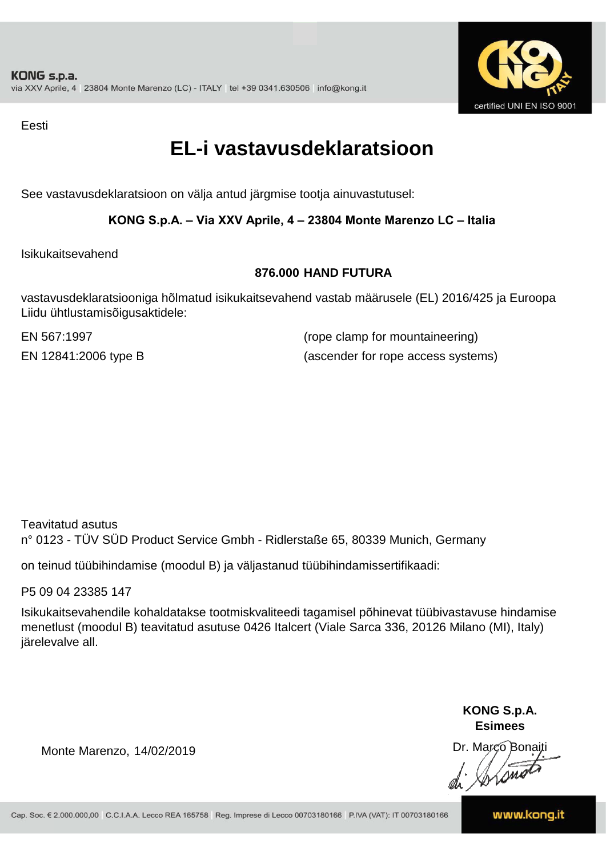

Eesti

### **EL-i vastavusdeklaratsioon**

See vastavusdeklaratsioon on välja antud järgmise tootja ainuvastutusel:

#### **KONG S.p.A. – Via XXV Aprile, 4 – 23804 Monte Marenzo LC – Italia**

Isikukaitsevahend

#### **876.000 HAND FUTURA**

vastavusdeklaratsiooniga hõlmatud isikukaitsevahend vastab määrusele (EL) 2016/425 ja Euroopa Liidu ühtlustamisõigusaktidele:

EN 567:1997 (rope clamp for mountaineering) EN 12841:2006 type B (ascender for rope access systems)

Teavitatud asutus n° 0123 - TÜV SÜD Product Service Gmbh - Ridlerstaße 65, 80339 Munich, Germany

on teinud tüübihindamise (moodul B) ja väljastanud tüübihindamissertifikaadi:

P5 09 04 23385 147

Isikukaitsevahendile kohaldatakse tootmiskvaliteedi tagamisel põhinevat tüübivastavuse hindamise menetlust (moodul B) teavitatud asutuse 0426 Italcert (Viale Sarca 336, 20126 Milano (MI), Italy) järelevalve all.

> **KONG S.p.A. Esimees**

Dr. Marco Bonaiti di Stono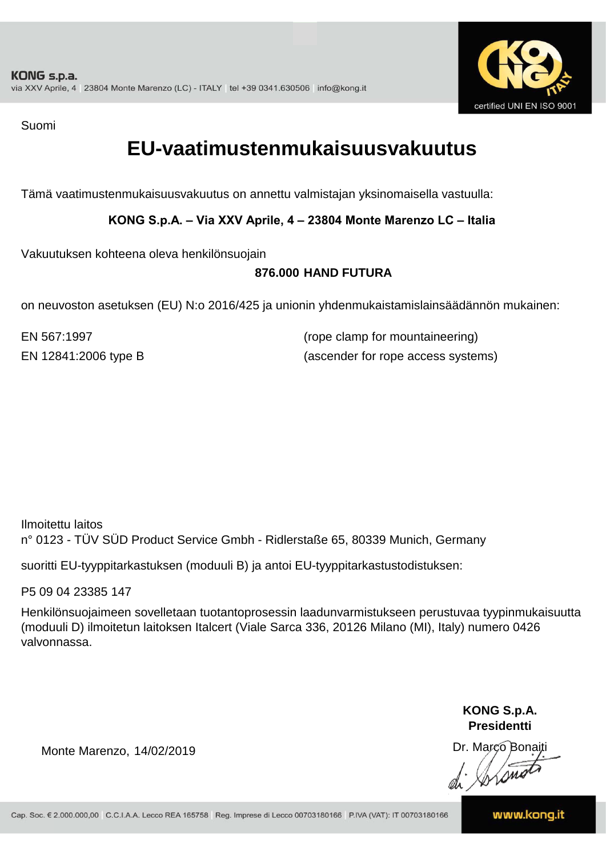

Suomi

### **EU-vaatimustenmukaisuusvakuutus**

Tämä vaatimustenmukaisuusvakuutus on annettu valmistajan yksinomaisella vastuulla:

**KONG S.p.A. – Via XXV Aprile, 4 – 23804 Monte Marenzo LC – Italia**

Vakuutuksen kohteena oleva henkilönsuojain

#### **876.000 HAND FUTURA**

on neuvoston asetuksen (EU) N:o 2016/425 ja unionin yhdenmukaistamislainsäädännön mukainen:

EN 567:1997 (rope clamp for mountaineering) EN 12841:2006 type B (ascender for rope access systems)

Ilmoitettu laitos n° 0123 - TÜV SÜD Product Service Gmbh - Ridlerstaße 65, 80339 Munich, Germany

suoritti EU-tyyppitarkastuksen (moduuli B) ja antoi EU-tyyppitarkastustodistuksen:

P5 09 04 23385 147

Henkilönsuojaimeen sovelletaan tuotantoprosessin laadunvarmistukseen perustuvaa tyypinmukaisuutta (moduuli D) ilmoitetun laitoksen Italcert (Viale Sarca 336, 20126 Milano (MI), Italy) numero 0426 valvonnassa.

> **KONG S.p.A. Presidentti**

Dr. Marco Bonaiti di Simon

Monte Marenzo, 14/02/2019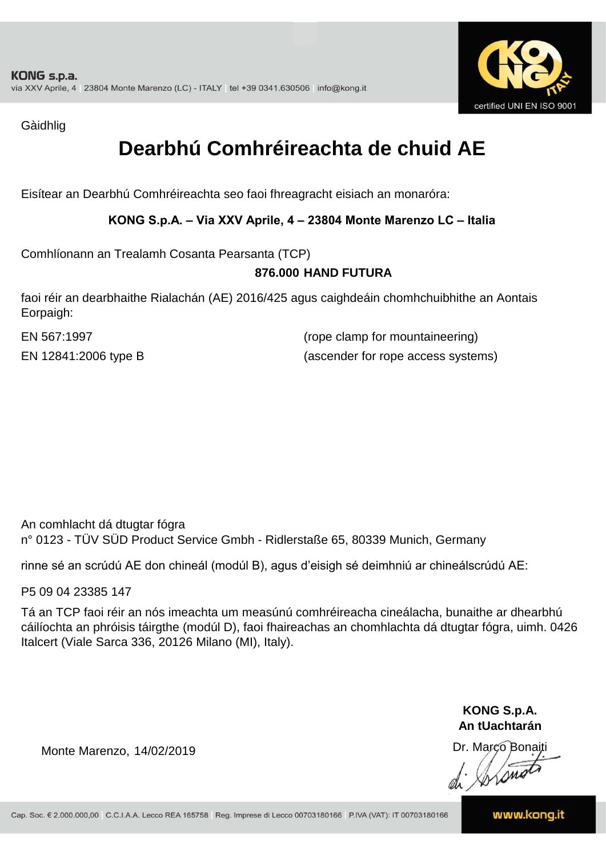

Gàidhlig

### **Dearbhú Comhréireachta de chuid AE**

Eisítear an Dearbhú Comhréireachta seo faoi fhreagracht eisiach an monaróra:

**KONG S.p.A. – Via XXV Aprile, 4 – 23804 Monte Marenzo LC – Italia**

Comhlíonann an Trealamh Cosanta Pearsanta (TCP)

#### **876.000 HAND FUTURA**

faoi réir an dearbhaithe Rialachán (AE) 2016/425 agus caighdeáin chomhchuibhithe an Aontais Eorpaigh:

EN 567:1997 (rope clamp for mountaineering) EN 12841:2006 type B (ascender for rope access systems)

An comhlacht dá dtugtar fógra n° 0123 - TÜV SÜD Product Service Gmbh - Ridlerstaße 65, 80339 Munich, Germany

rinne sé an scrúdú AE don chineál (modúl B), agus d'eisigh sé deimhniú ar chineálscrúdú AE:

P5 09 04 23385 147

Tá an TCP faoi réir an nós imeachta um measúnú comhréireacha cineálacha, bunaithe ar dhearbhú cáilíochta an phróisis táirgthe (modúl D), faoi fhaireachas an chomhlachta dá dtugtar fógra, uimh. 0426 Italcert (Viale Sarca 336, 20126 Milano (MI), Italy).

> **KONG S.p.A. An tUachtarán**

Dr. Marco Bonaiti di Stono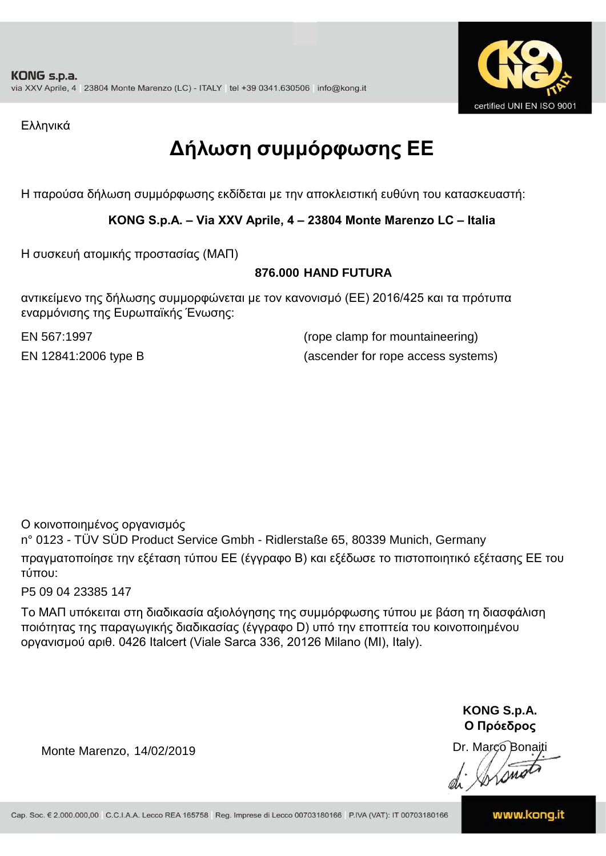

Ελληνικά

## **Δήλωση συμμόρφωσης ΕE**

Η παρούσα δήλωση συμμόρφωσης εκδίδεται με την αποκλειστική ευθύνη του κατασκευαστή:

#### **KONG S.p.A. – Via XXV Aprile, 4 – 23804 Monte Marenzo LC – Italia**

Η συσκευή ατομικής προστασίας (ΜΑΠ)

#### **876.000 HAND FUTURA**

αντικείμενο της δήλωσης συμμορφώνεται με τον κανονισμό (ΕΕ) 2016/425 και τα πρότυπα εναρμόνισης της Ευρωπαϊκής Ένωσης:

EN 567:1997 (rope clamp for mountaineering) EN 12841:2006 type B (ascender for rope access systems)

Ο κοινοποιημένος οργανισμός

n° 0123 - TÜV SÜD Product Service Gmbh - Ridlerstaße 65, 80339 Munich, Germany πραγματοποίησε την εξέταση τύπου ΕΕ (έγγραφο Β) και εξέδωσε το πιστοποιητικό εξέτασης ΕΕ του τύπου:

P5 09 04 23385 147

Το ΜΑΠ υπόκειται στη διαδικασία αξιολόγησης της συμμόρφωσης τύπου με βάση τη διασφάλιση ποιότητας της παραγωγικής διαδικασίας (έγγραφο D) υπό την εποπτεία του κοινοποιημένου οργανισμού αριθ. 0426 Italcert (Viale Sarca 336, 20126 Milano (MI), Italy).

> **KONG S.p.A. Ο Πρόεδρος**

Dr. Marco Bonaiti di Arono

Monte Marenzo, 14/02/2019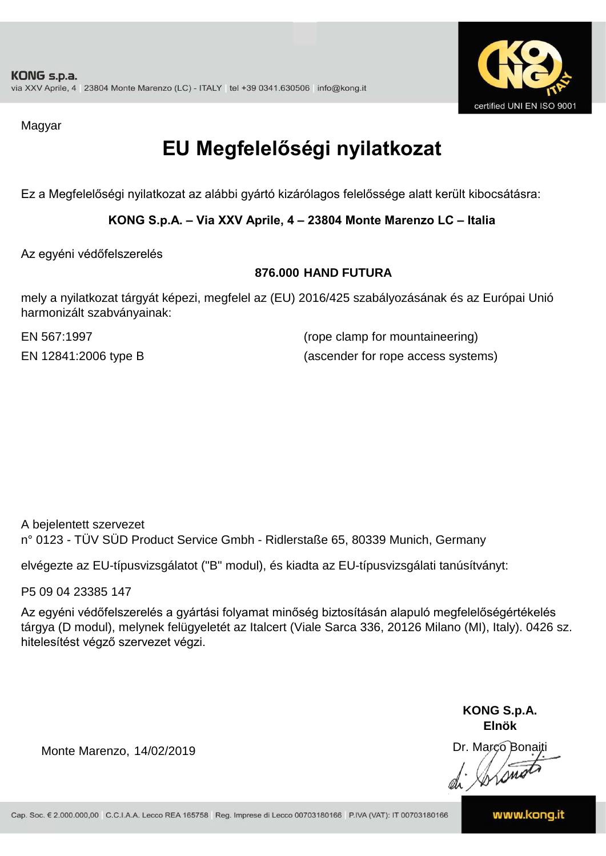

Magyar

## **EU Megfelelőségi nyilatkozat**

Ez a Megfelelőségi nyilatkozat az alábbi gyártó kizárólagos felelőssége alatt került kibocsátásra:

**KONG S.p.A. – Via XXV Aprile, 4 – 23804 Monte Marenzo LC – Italia**

Az egyéni védőfelszerelés

#### **876.000 HAND FUTURA**

mely a nyilatkozat tárgyát képezi, megfelel az (EU) 2016/425 szabályozásának és az Európai Unió harmonizált szabványainak:

EN 567:1997 (rope clamp for mountaineering) EN 12841:2006 type B (ascender for rope access systems)

A bejelentett szervezet n° 0123 - TÜV SÜD Product Service Gmbh - Ridlerstaße 65, 80339 Munich, Germany

elvégezte az EU-típusvizsgálatot ("B" modul), és kiadta az EU-típusvizsgálati tanúsítványt:

P5 09 04 23385 147

Az egyéni védőfelszerelés a gyártási folyamat minőség biztosításán alapuló megfelelőségértékelés tárgya (D modul), melynek felügyeletét az Italcert (Viale Sarca 336, 20126 Milano (MI), Italy). 0426 sz. hitelesítést végző szervezet végzi.

> **KONG S.p.A. Elnök**

Dr. Marco Bonaiti di Aromor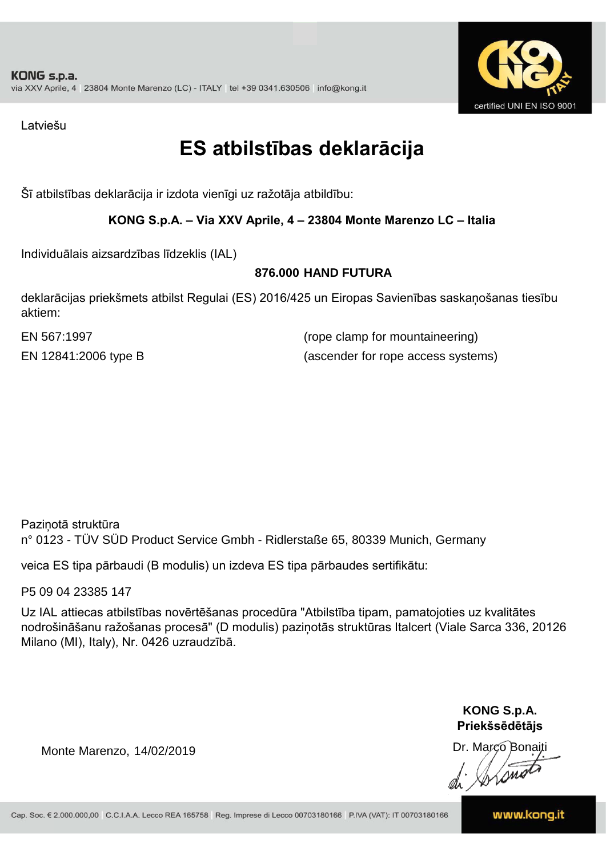

Latviešu

### **ES atbilstības deklarācija**

Šī atbilstības deklarācija ir izdota vienīgi uz ražotāja atbildību:

#### **KONG S.p.A. – Via XXV Aprile, 4 – 23804 Monte Marenzo LC – Italia**

Individuālais aizsardzības līdzeklis (IAL)

#### **876.000 HAND FUTURA**

deklarācijas priekšmets atbilst Regulai (ES) 2016/425 un Eiropas Savienības saskaņošanas tiesību aktiem:

EN 567:1997 (rope clamp for mountaineering) EN 12841:2006 type B (ascender for rope access systems)

Paziņotā struktūra n° 0123 - TÜV SÜD Product Service Gmbh - Ridlerstaße 65, 80339 Munich, Germany

veica ES tipa pārbaudi (B modulis) un izdeva ES tipa pārbaudes sertifikātu:

P5 09 04 23385 147

Uz IAL attiecas atbilstības novērtēšanas procedūra "Atbilstība tipam, pamatojoties uz kvalitātes nodrošināšanu ražošanas procesā" (D modulis) paziņotās struktūras Italcert (Viale Sarca 336, 20126 Milano (MI), Italy), Nr. 0426 uzraudzībā.

> **KONG S.p.A. Priekšsēdētājs**

Dr. Marco Bonaiti

Monte Marenzo, 14/02/2019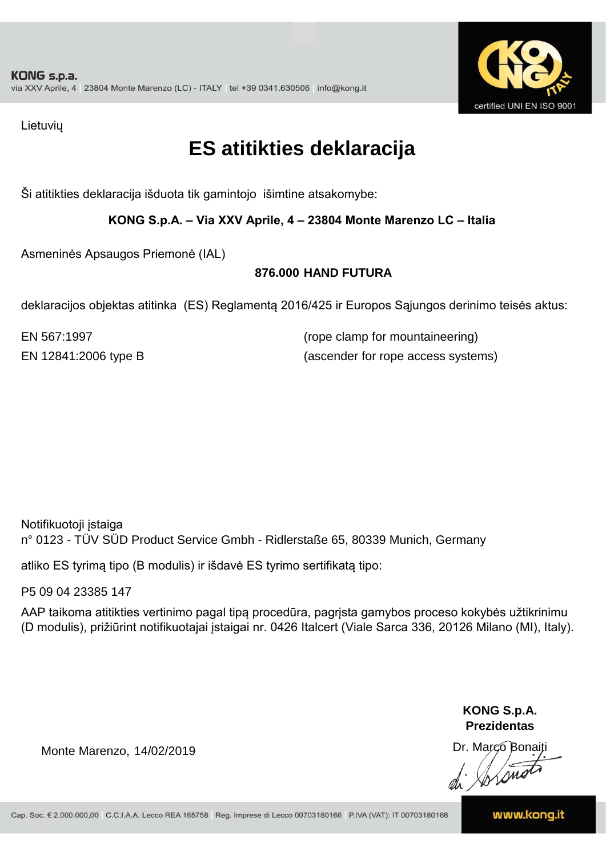

Lietuvių

### **ES atitikties deklaracija**

Ši atitikties deklaracija išduota tik gamintojo išimtine atsakomybe:

**KONG S.p.A. – Via XXV Aprile, 4 – 23804 Monte Marenzo LC – Italia**

Asmeninės Apsaugos Priemonė (IAL)

#### **876.000 HAND FUTURA**

deklaracijos objektas atitinka (ES) Reglamentą 2016/425 ir Europos Sąjungos derinimo teisės aktus:

EN 567:1997 (rope clamp for mountaineering) EN 12841:2006 type B (ascender for rope access systems)

Notifikuotoji įstaiga n° 0123 - TÜV SÜD Product Service Gmbh - Ridlerstaße 65, 80339 Munich, Germany

atliko ES tyrimą tipo (B modulis) ir išdavė ES tyrimo sertifikatą tipo:

P5 09 04 23385 147

AAP taikoma atitikties vertinimo pagal tipą procedūra, pagrįsta gamybos proceso kokybės užtikrinimu (D modulis), prižiūrint notifikuotajai įstaigai nr. 0426 Italcert (Viale Sarca 336, 20126 Milano (MI), Italy).

> **KONG S.p.A. Prezidentas**

Dr. Marco Bonaiti di Arono

Monte Marenzo, 14/02/2019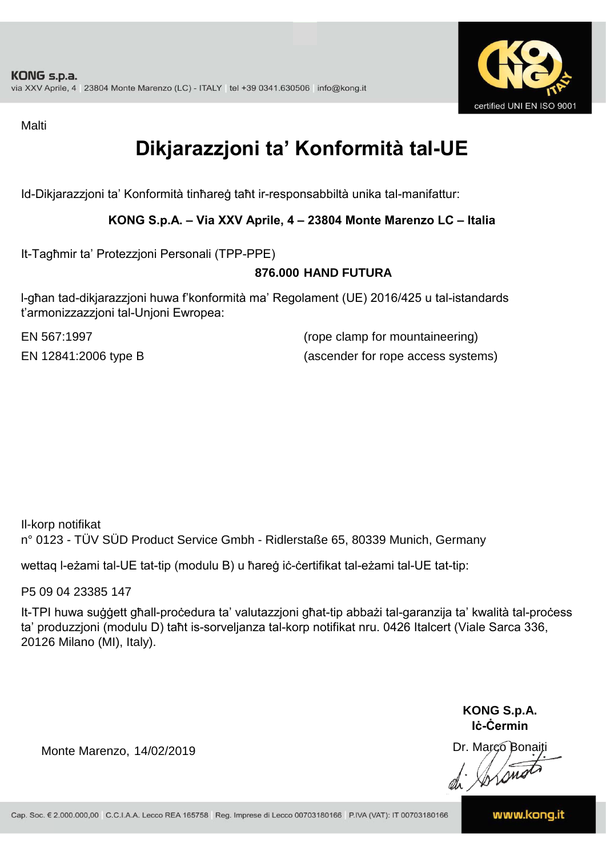

Malti

## **Dikjarazzjoni ta' Konformità tal-UE**

Id-Dikjarazzjoni ta' Konformità tinħareġ taħt ir-responsabbiltà unika tal-manifattur:

**KONG S.p.A. – Via XXV Aprile, 4 – 23804 Monte Marenzo LC – Italia**

It-Tagħmir ta' Protezzjoni Personali (TPP-PPE)

#### **876.000 HAND FUTURA**

l-għan tad-dikjarazzjoni huwa f'konformità ma' Regolament (UE) 2016/425 u tal-istandards t'armonizzazzjoni tal-Unjoni Ewropea:

EN 567:1997 (rope clamp for mountaineering) EN 12841:2006 type B (ascender for rope access systems)

Il-korp notifikat n° 0123 - TÜV SÜD Product Service Gmbh - Ridlerstaße 65, 80339 Munich, Germany

wettaq l-eżami tal-UE tat-tip (modulu B) u ħareġ iċ-ċertifikat tal-eżami tal-UE tat-tip:

P5 09 04 23385 147

It-TPI huwa suġġett għall-proċedura ta' valutazzjoni għat-tip abbażi tal-garanzija ta' kwalità tal-proċess ta' produzzjoni (modulu D) taħt is-sorveljanza tal-korp notifikat nru. 0426 Italcert (Viale Sarca 336, 20126 Milano (MI), Italy).

> **KONG S.p.A. Iċ-Ċermin**

Dr. Marco Bonaiti di Stono

Monte Marenzo, 14/02/2019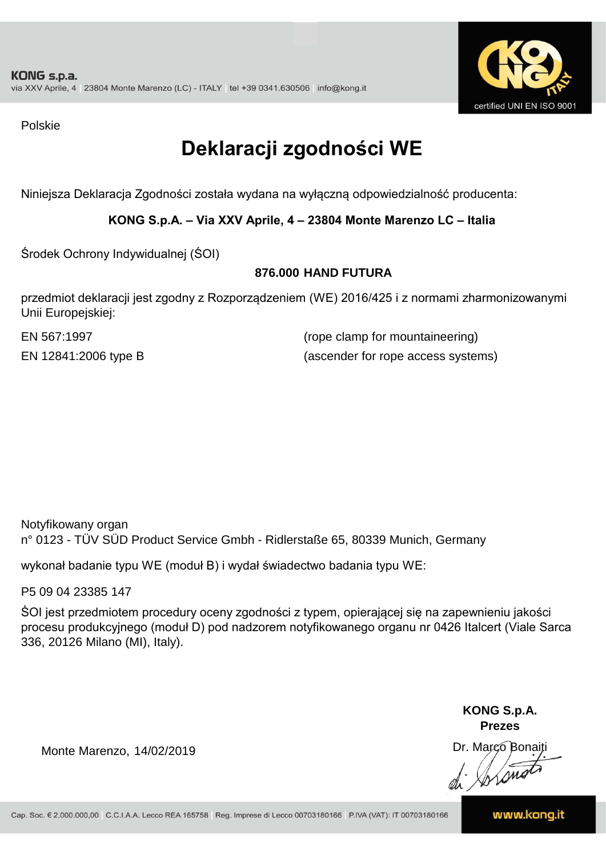

Polskie

## **Deklaracji zgodności WE**

Niniejsza Deklaracja Zgodności została wydana na wyłączną odpowiedzialność producenta:

**KONG S.p.A. – Via XXV Aprile, 4 – 23804 Monte Marenzo LC – Italia**

Środek Ochrony Indywidualnej (ŚOI)

#### **876.000 HAND FUTURA**

przedmiot deklaracji jest zgodny z Rozporządzeniem (WE) 2016/425 i z normami zharmonizowanymi Unii Europejskiej:

EN 567:1997 (rope clamp for mountaineering) EN 12841:2006 type B (ascender for rope access systems)

Notyfikowany organ n° 0123 - TÜV SÜD Product Service Gmbh - Ridlerstaße 65, 80339 Munich, Germany

wykonał badanie typu WE (moduł B) i wydał świadectwo badania typu WE:

P5 09 04 23385 147

ŚOI jest przedmiotem procedury oceny zgodności z typem, opierającej się na zapewnieniu jakości procesu produkcyjnego (moduł D) pod nadzorem notyfikowanego organu nr 0426 Italcert (Viale Sarca 336, 20126 Milano (MI), Italy).

> **KONG S.p.A. Prezes**

Dr. Marco Bonaiti di Aromo

Monte Marenzo, 14/02/2019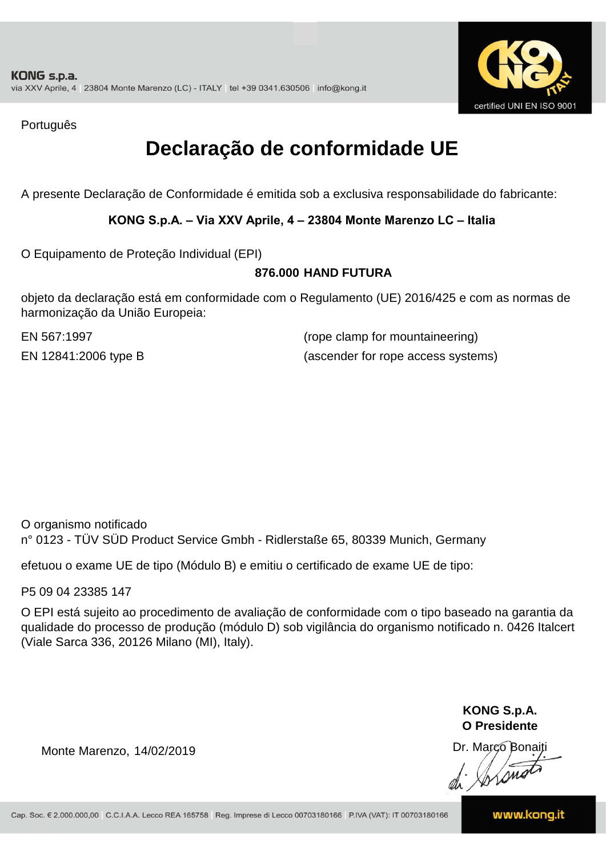

Português

### **Declaração de conformidade UE**

A presente Declaração de Conformidade é emitida sob a exclusiva responsabilidade do fabricante:

**KONG S.p.A. – Via XXV Aprile, 4 – 23804 Monte Marenzo LC – Italia**

O Equipamento de Proteção Individual (EPI)

#### **876.000 HAND FUTURA**

objeto da declaração está em conformidade com o Regulamento (UE) 2016/425 e com as normas de harmonização da União Europeia:

EN 567:1997 (rope clamp for mountaineering) EN 12841:2006 type B (ascender for rope access systems)

O organismo notificado n° 0123 - TÜV SÜD Product Service Gmbh - Ridlerstaße 65, 80339 Munich, Germany

efetuou o exame UE de tipo (Módulo B) e emitiu o certificado de exame UE de tipo:

P5 09 04 23385 147

O EPI está sujeito ao procedimento de avaliação de conformidade com o tipo baseado na garantia da qualidade do processo de produção (módulo D) sob vigilância do organismo notificado n. 0426 Italcert (Viale Sarca 336, 20126 Milano (MI), Italy).

> **KONG S.p.A. O Presidente**

Dr. Marco Bonaiti di Arono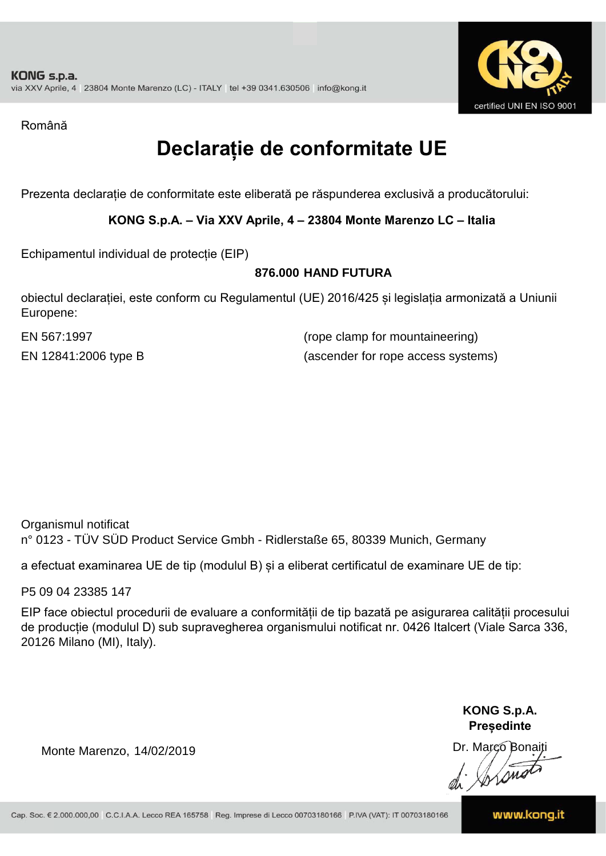

Română

### **Declarație de conformitate UE**

Prezenta declarație de conformitate este eliberată pe răspunderea exclusivă a producătorului:

**KONG S.p.A. – Via XXV Aprile, 4 – 23804 Monte Marenzo LC – Italia**

Echipamentul individual de protecție (EIP)

#### **876.000 HAND FUTURA**

obiectul declarației, este conform cu Regulamentul (UE) 2016/425 și legislația armonizată a Uniunii Europene:

EN 567:1997 (rope clamp for mountaineering) EN 12841:2006 type B (ascender for rope access systems)

Organismul notificat n° 0123 - TÜV SÜD Product Service Gmbh - Ridlerstaße 65, 80339 Munich, Germany

a efectuat examinarea UE de tip (modulul B) și a eliberat certificatul de examinare UE de tip:

P5 09 04 23385 147

EIP face obiectul procedurii de evaluare a conformității de tip bazată pe asigurarea calității procesului de producție (modulul D) sub supravegherea organismului notificat nr. 0426 Italcert (Viale Sarca 336, 20126 Milano (MI), Italy).

> **KONG S.p.A. Președinte**

Dr. Marco Bonaiti di Stono

Monte Marenzo, 14/02/2019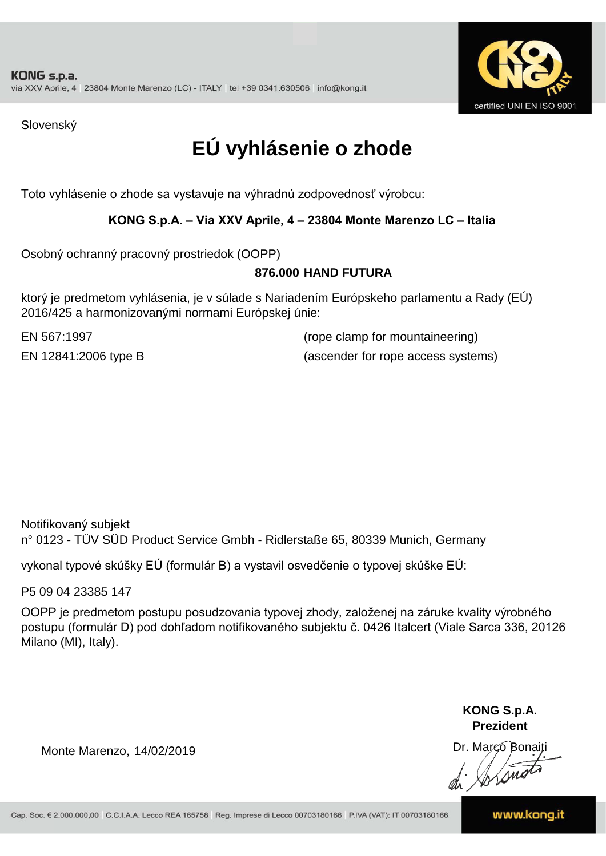

Slovenský

## **EÚ vyhlásenie o zhode**

Toto vyhlásenie o zhode sa vystavuje na výhradnú zodpovednosť výrobcu:

#### **KONG S.p.A. – Via XXV Aprile, 4 – 23804 Monte Marenzo LC – Italia**

Osobný ochranný pracovný prostriedok (OOPP)

#### **HAND FUTURA 876.000**

ktorý je predmetom vyhlásenia, je v súlade s Nariadením Európskeho parlamentu a Rady (EÚ) 2016/425 a harmonizovanými normami Európskej únie:

EN 567:1997 (rope clamp for mountaineering) EN 12841:2006 type B (ascender for rope access systems)

Notifikovaný subjekt n° 0123 - TÜV SÜD Product Service Gmbh - Ridlerstaße 65, 80339 Munich, Germany

vykonal typové skúšky EÚ (formulár B) a vystavil osvedčenie o typovej skúške EÚ:

P5 09 04 23385 147

OOPP je predmetom postupu posudzovania typovej zhody, založenej na záruke kvality výrobného postupu (formulár D) pod dohľadom notifikovaného subjektu č. 0426 Italcert (Viale Sarca 336, 20126 Milano (MI), Italy).

> **KONG S.p.A. Prezident**

Dr. Marco Bonaiti di Arono

Monte Marenzo, 14/02/2019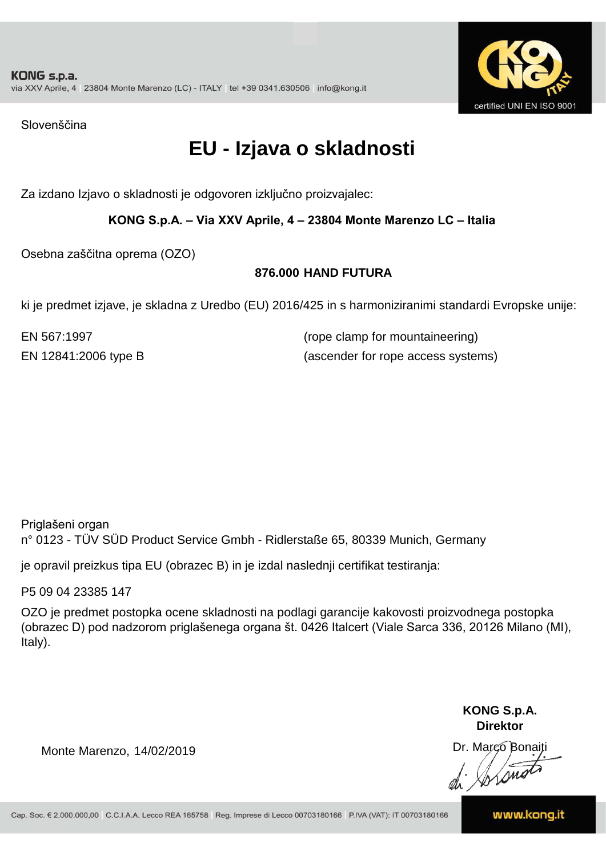

Slovenščina

### **EU - Izjava o skladnosti**

Za izdano Izjavo o skladnosti je odgovoren izključno proizvajalec:

#### **KONG S.p.A. – Via XXV Aprile, 4 – 23804 Monte Marenzo LC – Italia**

Osebna zaščitna oprema (OZO)

#### **876.000 HAND FUTURA**

ki je predmet izjave, je skladna z Uredbo (EU) 2016/425 in s harmoniziranimi standardi Evropske unije:

EN 567:1997 (rope clamp for mountaineering) EN 12841:2006 type B (ascender for rope access systems)

Priglašeni organ n° 0123 - TÜV SÜD Product Service Gmbh - Ridlerstaße 65, 80339 Munich, Germany

je opravil preizkus tipa EU (obrazec B) in je izdal naslednji certifikat testiranja:

P5 09 04 23385 147

OZO je predmet postopka ocene skladnosti na podlagi garancije kakovosti proizvodnega postopka (obrazec D) pod nadzorom priglašenega organa št. 0426 Italcert (Viale Sarca 336, 20126 Milano (MI), Italy).

> **KONG S.p.A. Direktor**

Dr. Marco Bonaiti di Stono

Monte Marenzo, 14/02/2019